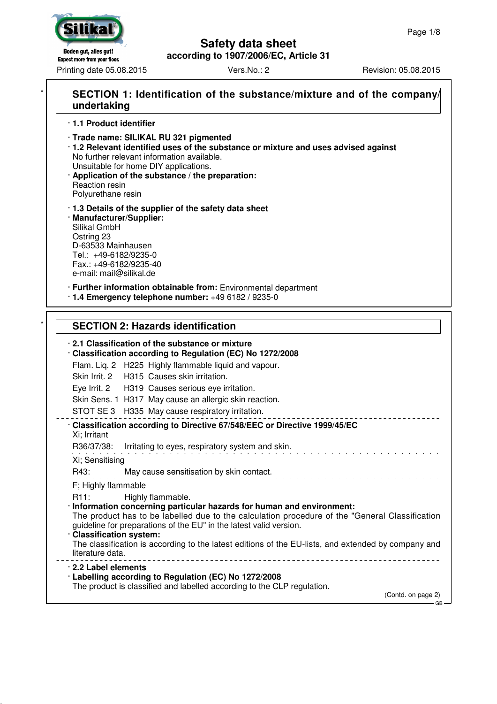

## **Safety data sheet**

**according to 1907/2006/EC, Article 31**

Printing date 05.08.2015 Vers.No.: 2 Revision: 05.08.2015

## **SECTION 1: Identification of the substance/mixture and of the company/ undertaking**

· **1.1 Product identifier**

- · **Trade name: SILIKAL RU 321 pigmented**
- · **1.2 Relevant identified uses of the substance or mixture and uses advised against** No further relevant information available. Unsuitable for home DIY applications.
- · **Application of the substance / the preparation:** Reaction resin Polyurethane resin
- · **1.3 Details of the supplier of the safety data sheet** · **Manufacturer/Supplier:**
- Silikal GmbH Ostring 23 D-63533 Mainhausen Tel.: +49-6182/9235-0 Fax.: +49-6182/9235-40 e-mail: mail@silikal.de
- · **Further information obtainable from:** Environmental department
- · **1.4 Emergency telephone number:** +49 6182 / 9235-0

## **SECTION 2: Hazards identification**

#### · **2.1 Classification of the substance or mixture**

- · **Classification according to Regulation (EC) No 1272/2008** Flam. Liq. 2 H225 Highly flammable liquid and vapour. Skin Irrit. 2 H315 Causes skin irritation.
	- Eye Irrit. 2 H319 Causes serious eye irritation.
	- Skin Sens. 1 H317 May cause an allergic skin reaction.
	- STOT SE 3 H335 May cause respiratory irritation.
- · **Classification according to Directive 67/548/EEC or Directive 1999/45/EC** Xi; Irritant R36/37/38: Irritating to eyes, respiratory system and skin. and the state of the state of Xi; Sensitising R43: May cause sensitisation by skin contact. F; Highly flammable R11: Highly flammable. · **Information concerning particular hazards for human and environment:** The product has to be labelled due to the calculation procedure of the "General Classification guideline for preparations of the EU" in the latest valid version. · **Classification system:** The classification is according to the latest editions of the EU-lists, and extended by company and literature data. <u>. . . . . . . . . . . . .</u> \_\_\_\_\_\_\_\_\_\_\_\_\_\_\_\_\_ · **2.2 Label elements** · **Labelling according to Regulation (EC) No 1272/2008**
	- The product is classified and labelled according to the CLP regulation.

(Contd. on page 2)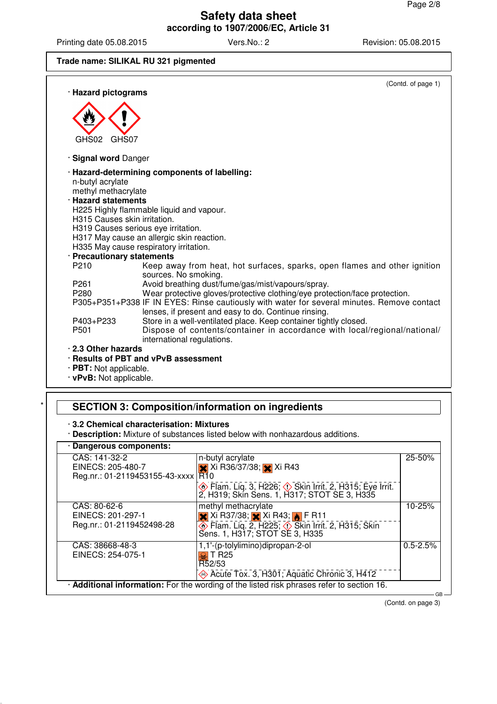Printing date 05.08.2015 Vers.No.: 2 Revision: 05.08.2015

#### **Trade name: SILIKAL RU 321 pigmented**

| · Hazard pictograms                      | (Contd. of page 1)                                                                                                                                 |
|------------------------------------------|----------------------------------------------------------------------------------------------------------------------------------------------------|
|                                          |                                                                                                                                                    |
|                                          |                                                                                                                                                    |
|                                          |                                                                                                                                                    |
|                                          |                                                                                                                                                    |
| GHS02<br>GHS07                           |                                                                                                                                                    |
| · Signal word Danger                     |                                                                                                                                                    |
|                                          | · Hazard-determining components of labelling:                                                                                                      |
| n-butyl acrylate                         |                                                                                                                                                    |
| methyl methacrylate                      |                                                                                                                                                    |
| <b>Hazard statements</b>                 |                                                                                                                                                    |
|                                          | H225 Highly flammable liquid and vapour.                                                                                                           |
| H <sub>315</sub> Causes skin irritation. |                                                                                                                                                    |
|                                          | H319 Causes serious eye irritation.                                                                                                                |
|                                          | H317 May cause an allergic skin reaction.                                                                                                          |
|                                          | H335 May cause respiratory irritation.                                                                                                             |
| · Precautionary statements               |                                                                                                                                                    |
| P210                                     | Keep away from heat, hot surfaces, sparks, open flames and other ignition<br>sources. No smoking.                                                  |
| P <sub>261</sub>                         | Avoid breathing dust/fume/gas/mist/vapours/spray.                                                                                                  |
| P280                                     | Wear protective gloves/protective clothing/eye protection/face protection.                                                                         |
|                                          | P305+P351+P338 IF IN EYES: Rinse cautiously with water for several minutes. Remove contact<br>lenses, if present and easy to do. Continue rinsing. |
| P403+P233                                | Store in a well-ventilated place. Keep container tightly closed.                                                                                   |
| P <sub>501</sub>                         | Dispose of contents/container in accordance with local/regional/national/<br>international regulations.                                            |
| .2.3 Other hazards                       |                                                                                                                                                    |
|                                          | · Results of PBT and vPvB assessment                                                                                                               |
| · PBT: Not applicable.                   |                                                                                                                                                    |

· **vPvB:** Not applicable.

## **SECTION 3: Composition/information on ingredients**

#### · **3.2 Chemical characterisation: Mixtures**

· **Description:** Mixture of substances listed below with nonhazardous additions.

## · **Dangerous components:**

| Dangerous components.                                                                           |                                                                                                                                                                                                                       |              |
|-------------------------------------------------------------------------------------------------|-----------------------------------------------------------------------------------------------------------------------------------------------------------------------------------------------------------------------|--------------|
| CAS: 141-32-2<br>EINECS: 205-480-7<br>Reg.nr.: 01-2119453155-43-xxxx   R10                      | n-butyl acrylate<br>$\times$ Xi R36/37/38; $\times$ Xi R43<br><b>√ Flam. Liq. 3, H226, √ Skin Irrit. 2, H315, Eye Irrit.</b><br>2, H319; Skin Sens. 1, H317; STOT SE 3, H335                                          | 25-50%       |
| CAS: 80-62-6<br>EINECS: 201-297-1<br>Reg.nr.: 01-2119452498-28                                  | methyl methacrylate<br>$\mathsf{\times}$ Xi R37/38; $\mathsf{\times}$ Xi R43; $\mathsf{\bullet}$ F R11<br>$\circledast$ Flam. Liq. 2, H225; $\circledast$ Skin Irrit. 2, H315; Skin<br>Sens. 1, H317; STOT SE 3, H335 | 10-25%       |
| CAS: 38668-48-3<br>EINECS: 254-075-1                                                            | 1,1'-(p-tolylimino)dipropan-2-ol<br>T R <sub>25</sub><br>R52/53<br>Acute Tox. 3, H301; Aquatic Chronic 3, H412                                                                                                        | $0.5 - 2.5%$ |
| · Additional information: For the wording of the listed risk phrases refer to section 16.<br>GB |                                                                                                                                                                                                                       |              |

(Contd. on page 3)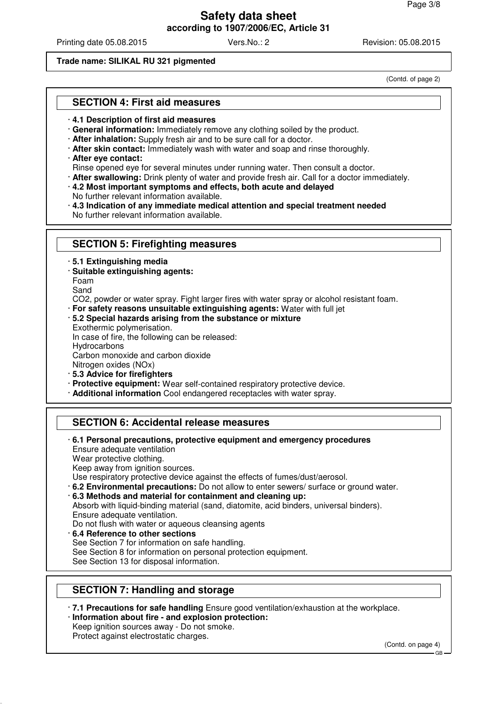Printing date 05.08.2015 Vers.No.: 2 Revision: 05.08.2015

#### **Trade name: SILIKAL RU 321 pigmented**

(Contd. of page 2)

### **SECTION 4: First aid measures**

#### · **4.1 Description of first aid measures**

· **General information:** Immediately remove any clothing soiled by the product.

- · **After inhalation:** Supply fresh air and to be sure call for a doctor.
- · **After skin contact:** Immediately wash with water and soap and rinse thoroughly.
- · **After eye contact:**

Rinse opened eye for several minutes under running water. Then consult a doctor.

- · **After swallowing:** Drink plenty of water and provide fresh air. Call for a doctor immediately.
- · **4.2 Most important symptoms and effects, both acute and delayed**
- No further relevant information available.

· **4.3 Indication of any immediate medical attention and special treatment needed** No further relevant information available.

## **SECTION 5: Firefighting measures**

- · **5.1 Extinguishing media**
- · **Suitable extinguishing agents:**

Foam

Sand

CO2, powder or water spray. Fight larger fires with water spray or alcohol resistant foam.

- · **For safety reasons unsuitable extinguishing agents:** Water with full jet
- · **5.2 Special hazards arising from the substance or mixture**

Exothermic polymerisation.

In case of fire, the following can be released:

**Hydrocarbons** 

Carbon monoxide and carbon dioxide

Nitrogen oxides (NOx)

- · **5.3 Advice for firefighters**
- · **Protective equipment:** Wear self-contained respiratory protective device.
- · **Additional information** Cool endangered receptacles with water spray.

## **SECTION 6: Accidental release measures**

· **6.1 Personal precautions, protective equipment and emergency procedures** Ensure adequate ventilation Wear protective clothing.

Keep away from ignition sources.

- Use respiratory protective device against the effects of fumes/dust/aerosol.
- · **6.2 Environmental precautions:** Do not allow to enter sewers/ surface or ground water.

· **6.3 Methods and material for containment and cleaning up:**

Absorb with liquid-binding material (sand, diatomite, acid binders, universal binders). Ensure adequate ventilation.

Do not flush with water or aqueous cleansing agents

· **6.4 Reference to other sections** See Section 7 for information on safe handling.

See Section 8 for information on personal protection equipment.

See Section 13 for disposal information.

## **SECTION 7: Handling and storage**

· **7.1 Precautions for safe handling** Ensure good ventilation/exhaustion at the workplace.

· **Information about fire - and explosion protection:** Keep ignition sources away - Do not smoke.

Protect against electrostatic charges.

(Contd. on page 4)

GB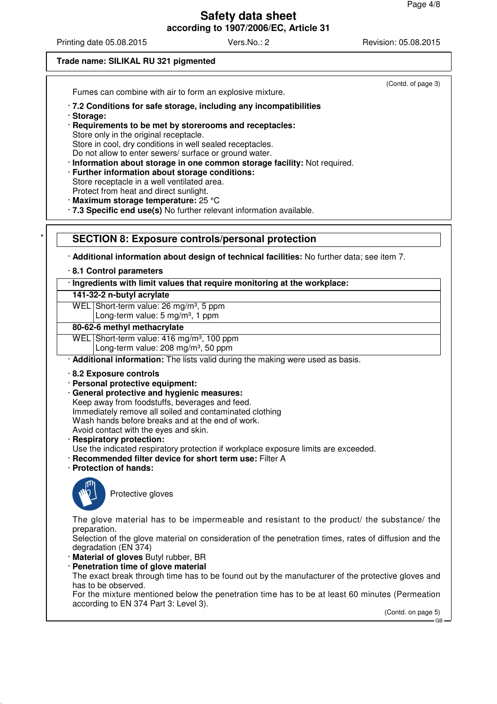Printing date 05.08.2015 Vers.No.: 2 Revision: 05.08.2015

(Contd. of page 3)

#### **Trade name: SILIKAL RU 321 pigmented**

Fumes can combine with air to form an explosive mixture.

- · **7.2 Conditions for safe storage, including any incompatibilities**
- · **Storage:**

· **Requirements to be met by storerooms and receptacles:** Store only in the original receptacle. Store in cool, dry conditions in well sealed receptacles. Do not allow to enter sewers/ surface or ground water.

- · **Information about storage in one common storage facility:** Not required.
- · **Further information about storage conditions:** Store receptacle in a well ventilated area. Protect from heat and direct sunlight.
- 
- · **Maximum storage temperature:** 25 °C
- · **7.3 Specific end use(s)** No further relevant information available.

#### **SECTION 8: Exposure controls/personal protection**

· **Additional information about design of technical facilities:** No further data; see item 7.

· **8.1 Control parameters**

· **Ingredients with limit values that require monitoring at the workplace:**

**141-32-2 n-butyl acrylate**

WEL Short-term value: 26 mg/m<sup>3</sup>, 5 ppm

Long-term value: 5 mg/m<sup>3</sup>, 1 ppm

#### **80-62-6 methyl methacrylate**

WEL Short-term value: 416 mg/m<sup>3</sup>, 100 ppm Long-term value: 208 mg/m<sup>3</sup>, 50 ppm

· **Additional information:** The lists valid during the making were used as basis.

· **8.2 Exposure controls**

· **Personal protective equipment:**

- · **General protective and hygienic measures:**
- Keep away from foodstuffs, beverages and feed.
- Immediately remove all soiled and contaminated clothing

Wash hands before breaks and at the end of work.

- Avoid contact with the eyes and skin.
- · **Respiratory protection:**
- Use the indicated respiratory protection if workplace exposure limits are exceeded.
- · **Recommended filter device for short term use:** Filter A
- · **Protection of hands:**



Protective gloves

The glove material has to be impermeable and resistant to the product/ the substance/ the preparation.

Selection of the glove material on consideration of the penetration times, rates of diffusion and the degradation (EN 374)

· **Material of gloves** Butyl rubber, BR

**Penetration time of glove material** 

The exact break through time has to be found out by the manufacturer of the protective gloves and has to be observed.

For the mixture mentioned below the penetration time has to be at least 60 minutes (Permeation according to EN 374 Part 3: Level 3).

(Contd. on page 5)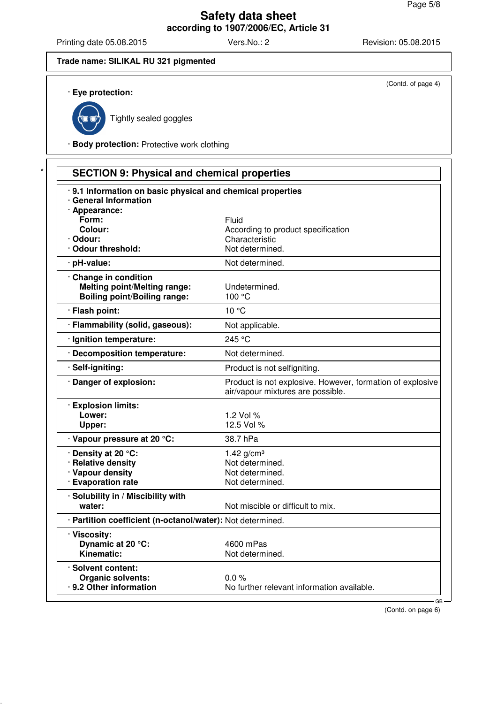Printing date 05.08.2015 Vers.No.: 2 Revision: 05.08.2015

(Contd. of page 4)

#### **Trade name: SILIKAL RU 321 pigmented**

#### · **Eye protection:**



Tightly sealed goggles

· **Body protection:** Protective work clothing

| .9.1 Information on basic physical and chemical properties |                                                                                                |
|------------------------------------------------------------|------------------------------------------------------------------------------------------------|
| · General Information                                      |                                                                                                |
| · Appearance:<br>Form:                                     | Fluid                                                                                          |
| Colour:                                                    | According to product specification                                                             |
| · Odour:                                                   | Characteristic                                                                                 |
| · Odour threshold:                                         | Not determined.                                                                                |
| · pH-value:                                                | Not determined.                                                                                |
| Change in condition                                        |                                                                                                |
| <b>Melting point/Melting range:</b>                        | Undetermined.                                                                                  |
| <b>Boiling point/Boiling range:</b>                        | 100 °C                                                                                         |
| · Flash point:                                             | 10 °C                                                                                          |
| · Flammability (solid, gaseous):                           | Not applicable.                                                                                |
| · Ignition temperature:                                    | 245 °C                                                                                         |
| · Decomposition temperature:                               | Not determined.                                                                                |
| · Self-igniting:                                           | Product is not selfigniting.                                                                   |
| · Danger of explosion:                                     | Product is not explosive. However, formation of explosive<br>air/vapour mixtures are possible. |
| · Explosion limits:                                        |                                                                                                |
| Lower:                                                     | 1.2 Vol %                                                                                      |
| Upper:                                                     | 12.5 Vol %                                                                                     |
| · Vapour pressure at 20 °C:                                | 38.7 hPa                                                                                       |
| · Density at 20 °C:                                        | 1.42 $g/cm^{3}$                                                                                |
| · Relative density                                         | Not determined.                                                                                |
| · Vapour density                                           | Not determined.                                                                                |
| · Evaporation rate                                         | Not determined.                                                                                |
| · Solubility in / Miscibility with                         |                                                                                                |
| water:                                                     | Not miscible or difficult to mix.                                                              |
| · Partition coefficient (n-octanol/water): Not determined. |                                                                                                |
| · Viscositv:                                               |                                                                                                |
| Dynamic at 20 °C:                                          | 4600 mPas                                                                                      |
| Kinematic:                                                 | Not determined.                                                                                |
| · Solvent content:                                         |                                                                                                |
| <b>Organic solvents:</b>                                   | 0.0%                                                                                           |
| · 9.2 Other information                                    | No further relevant information available.                                                     |

(Contd. on page 6)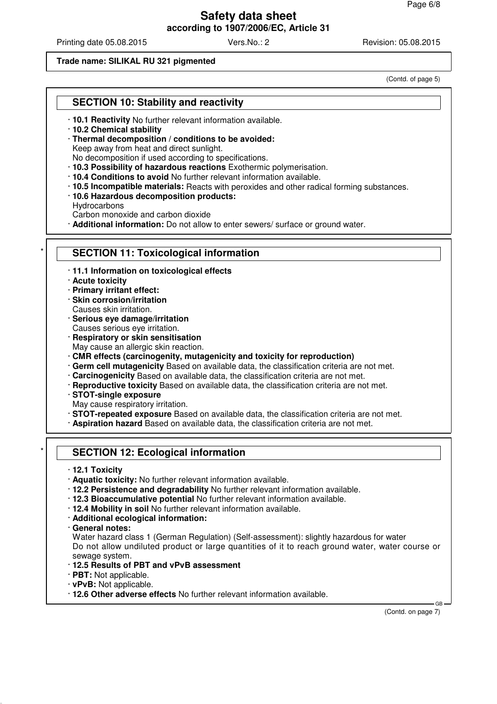Printing date 05.08.2015 Vers.No.: 2 Revision: 05.08.2015

#### **Trade name: SILIKAL RU 321 pigmented**

(Contd. of page 5)

### **SECTION 10: Stability and reactivity**

- · **10.1 Reactivity** No further relevant information available.
- · **10.2 Chemical stability**
- · **Thermal decomposition / conditions to be avoided:**

Keep away from heat and direct sunlight.

No decomposition if used according to specifications.

- · **10.3 Possibility of hazardous reactions** Exothermic polymerisation.
- · **10.4 Conditions to avoid** No further relevant information available.
- · **10.5 Incompatible materials:** Reacts with peroxides and other radical forming substances.
- · **10.6 Hazardous decomposition products:**
- Hydrocarbons

Carbon monoxide and carbon dioxide

· **Additional information:** Do not allow to enter sewers/ surface or ground water.

#### **SECTION 11: Toxicological information**

· **11.1 Information on toxicological effects**

· **Acute toxicity**

- · **Primary irritant effect:**
- · **Skin corrosion/irritation**
- Causes skin irritation.
- · **Serious eye damage/irritation**
- Causes serious eye irritation.
- · **Respiratory or skin sensitisation**
- May cause an allergic skin reaction.
- · **CMR effects (carcinogenity, mutagenicity and toxicity for reproduction)**
- · **Germ cell mutagenicity** Based on available data, the classification criteria are not met.
- · **Carcinogenicity** Based on available data, the classification criteria are not met.
- · **Reproductive toxicity** Based on available data, the classification criteria are not met.
- · **STOT-single exposure**
- May cause respiratory irritation.
- · **STOT-repeated exposure** Based on available data, the classification criteria are not met.
- · **Aspiration hazard** Based on available data, the classification criteria are not met.

### **SECTION 12: Ecological information**

- · **12.1 Toxicity**
- · **Aquatic toxicity:** No further relevant information available.
- · **12.2 Persistence and degradability** No further relevant information available.
- · **12.3 Bioaccumulative potential** No further relevant information available.
- · **12.4 Mobility in soil** No further relevant information available.
- · **Additional ecological information:**
- · **General notes:**
- Water hazard class 1 (German Regulation) (Self-assessment): slightly hazardous for water Do not allow undiluted product or large quantities of it to reach ground water, water course or sewage system.
- · **12.5 Results of PBT and vPvB assessment**
- · **PBT:** Not applicable.
- · **vPvB:** Not applicable.
- · **12.6 Other adverse effects** No further relevant information available.

(Contd. on page 7)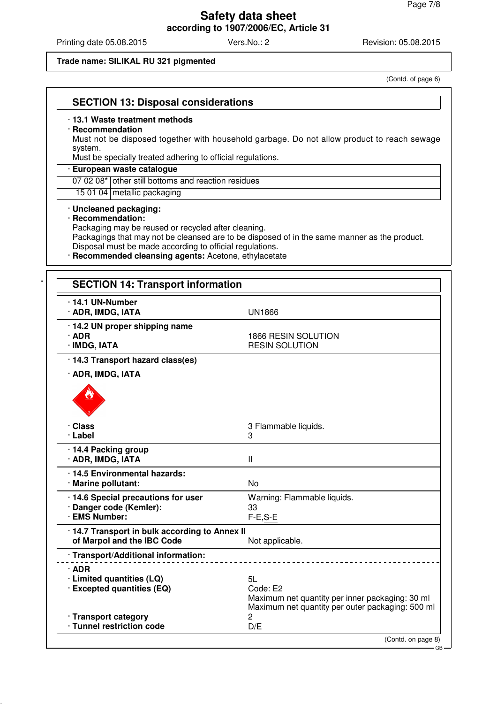Printing date 05.08.2015 Vers.No.: 2 Revision: 05.08.2015

#### **Trade name: SILIKAL RU 321 pigmented**

(Contd. of page 6)

|  |  | <b>SECTION 13: Disposal considerations</b> |
|--|--|--------------------------------------------|
|--|--|--------------------------------------------|

#### · **13.1 Waste treatment methods**

#### · **Recommendation**

Must not be disposed together with household garbage. Do not allow product to reach sewage system.

Must be specially treated adhering to official regulations.

#### · **European waste catalogue**

07 02 08\* other still bottoms and reaction residues

15 01 04 metallic packaging

#### · **Uncleaned packaging:**

#### · **Recommendation:**

Packaging may be reused or recycled after cleaning.

Packagings that may not be cleansed are to be disposed of in the same manner as the product. Disposal must be made according to official regulations.

· **Recommended cleansing agents:** Acetone, ethylacetate

| $\cdot$ 14.1 UN-Number<br>· ADR, IMDG, IATA                                     | <b>UN1866</b>                                                                                                         |
|---------------------------------------------------------------------------------|-----------------------------------------------------------------------------------------------------------------------|
| · 14.2 UN proper shipping name<br>$\cdot$ ADR<br>· IMDG, IATA                   | 1866 RESIN SOLUTION<br><b>RESIN SOLUTION</b>                                                                          |
| · 14.3 Transport hazard class(es)                                               |                                                                                                                       |
| · ADR, IMDG, IATA                                                               |                                                                                                                       |
| · Class<br>· Label                                                              | 3 Flammable liquids.<br>3                                                                                             |
| · 14.4 Packing group<br>· ADR, IMDG, IATA                                       | $\mathbf{I}$                                                                                                          |
| · 14.5 Environmental hazards:<br>· Marine pollutant:                            | <b>No</b>                                                                                                             |
| · 14.6 Special precautions for user<br>· Danger code (Kemler):<br>· EMS Number: | Warning: Flammable liquids.<br>33<br>$F-E, S-E$                                                                       |
| · 14.7 Transport in bulk according to Annex II<br>of Marpol and the IBC Code    | Not applicable.                                                                                                       |
| · Transport/Additional information:                                             |                                                                                                                       |
| $\cdot$ ADR<br>· Limited quantities (LQ)<br>· Excepted quantities (EQ)          | 5L<br>Code: E2<br>Maximum net quantity per inner packaging: 30 ml<br>Maximum net quantity per outer packaging: 500 ml |
| · Transport category<br>· Tunnel restriction code                               | 2<br>D/E                                                                                                              |